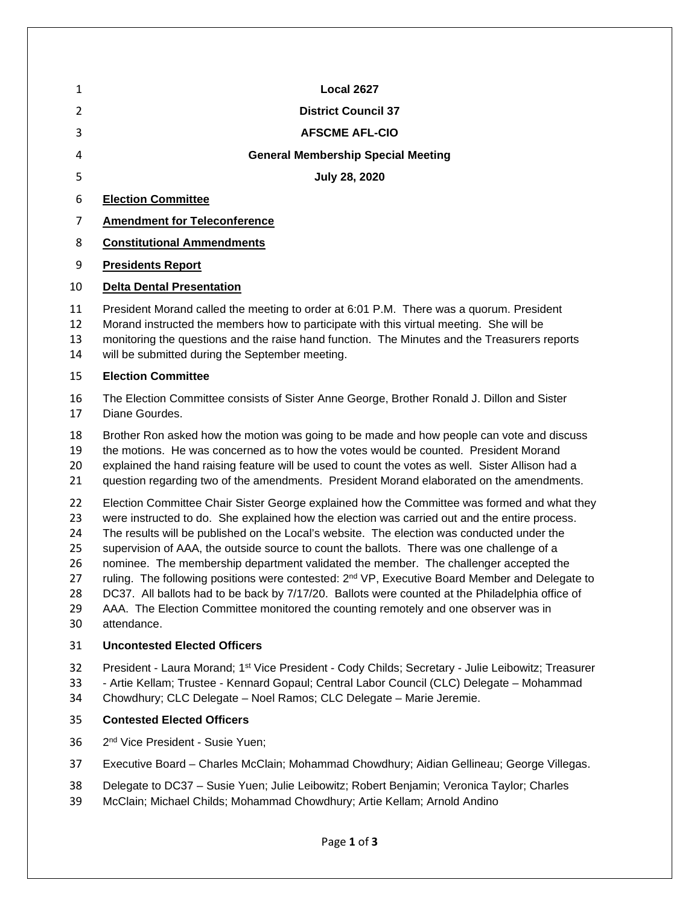| 1                                                  | <b>Local 2627</b>                                                                                                                                                                                                                                                                                                                                                                                                                                                                                                                                                                                                                                                                                                                                                                                      |
|----------------------------------------------------|--------------------------------------------------------------------------------------------------------------------------------------------------------------------------------------------------------------------------------------------------------------------------------------------------------------------------------------------------------------------------------------------------------------------------------------------------------------------------------------------------------------------------------------------------------------------------------------------------------------------------------------------------------------------------------------------------------------------------------------------------------------------------------------------------------|
| 2                                                  | <b>District Council 37</b>                                                                                                                                                                                                                                                                                                                                                                                                                                                                                                                                                                                                                                                                                                                                                                             |
| 3                                                  | <b>AFSCME AFL-CIO</b>                                                                                                                                                                                                                                                                                                                                                                                                                                                                                                                                                                                                                                                                                                                                                                                  |
| 4                                                  | <b>General Membership Special Meeting</b>                                                                                                                                                                                                                                                                                                                                                                                                                                                                                                                                                                                                                                                                                                                                                              |
| 5                                                  | <b>July 28, 2020</b>                                                                                                                                                                                                                                                                                                                                                                                                                                                                                                                                                                                                                                                                                                                                                                                   |
| 6                                                  | <b>Election Committee</b>                                                                                                                                                                                                                                                                                                                                                                                                                                                                                                                                                                                                                                                                                                                                                                              |
| 7                                                  | <b>Amendment for Teleconference</b>                                                                                                                                                                                                                                                                                                                                                                                                                                                                                                                                                                                                                                                                                                                                                                    |
| 8                                                  | <b>Constitutional Ammendments</b>                                                                                                                                                                                                                                                                                                                                                                                                                                                                                                                                                                                                                                                                                                                                                                      |
| 9                                                  | <b>Presidents Report</b>                                                                                                                                                                                                                                                                                                                                                                                                                                                                                                                                                                                                                                                                                                                                                                               |
| 10                                                 | <b>Delta Dental Presentation</b>                                                                                                                                                                                                                                                                                                                                                                                                                                                                                                                                                                                                                                                                                                                                                                       |
| 11<br>12<br>13<br>14                               | President Morand called the meeting to order at 6:01 P.M. There was a quorum. President<br>Morand instructed the members how to participate with this virtual meeting. She will be<br>monitoring the questions and the raise hand function. The Minutes and the Treasurers reports<br>will be submitted during the September meeting.                                                                                                                                                                                                                                                                                                                                                                                                                                                                  |
| 15                                                 | <b>Election Committee</b>                                                                                                                                                                                                                                                                                                                                                                                                                                                                                                                                                                                                                                                                                                                                                                              |
| 16<br>17                                           | The Election Committee consists of Sister Anne George, Brother Ronald J. Dillon and Sister<br>Diane Gourdes.                                                                                                                                                                                                                                                                                                                                                                                                                                                                                                                                                                                                                                                                                           |
| 18<br>19<br>20<br>21                               | Brother Ron asked how the motion was going to be made and how people can vote and discuss<br>the motions. He was concerned as to how the votes would be counted. President Morand<br>explained the hand raising feature will be used to count the votes as well. Sister Allison had a<br>question regarding two of the amendments. President Morand elaborated on the amendments.                                                                                                                                                                                                                                                                                                                                                                                                                      |
| 22<br>23<br>24<br>25<br>26<br>27<br>28<br>29<br>30 | Election Committee Chair Sister George explained how the Committee was formed and what they<br>were instructed to do. She explained how the election was carried out and the entire process.<br>The results will be published on the Local's website. The election was conducted under the<br>supervision of AAA, the outside source to count the ballots. There was one challenge of a<br>nominee. The membership department validated the member. The challenger accepted the<br>ruling. The following positions were contested: 2 <sup>nd</sup> VP, Executive Board Member and Delegate to<br>DC37. All ballots had to be back by 7/17/20. Ballots were counted at the Philadelphia office of<br>AAA. The Election Committee monitored the counting remotely and one observer was in<br>attendance. |
| 31                                                 | <b>Uncontested Elected Officers</b>                                                                                                                                                                                                                                                                                                                                                                                                                                                                                                                                                                                                                                                                                                                                                                    |
| 32<br>33<br>34                                     | President - Laura Morand; 1 <sup>st</sup> Vice President - Cody Childs; Secretary - Julie Leibowitz; Treasurer<br>- Artie Kellam; Trustee - Kennard Gopaul; Central Labor Council (CLC) Delegate - Mohammad<br>Chowdhury; CLC Delegate - Noel Ramos; CLC Delegate - Marie Jeremie.                                                                                                                                                                                                                                                                                                                                                                                                                                                                                                                     |
| 35                                                 | <b>Contested Elected Officers</b>                                                                                                                                                                                                                                                                                                                                                                                                                                                                                                                                                                                                                                                                                                                                                                      |
| 36                                                 | 2 <sup>nd</sup> Vice President - Susie Yuen;                                                                                                                                                                                                                                                                                                                                                                                                                                                                                                                                                                                                                                                                                                                                                           |
| 37                                                 | Executive Board - Charles McClain; Mohammad Chowdhury; Aidian Gellineau; George Villegas.                                                                                                                                                                                                                                                                                                                                                                                                                                                                                                                                                                                                                                                                                                              |
| 38<br>39                                           | Delegate to DC37 - Susie Yuen; Julie Leibowitz; Robert Benjamin; Veronica Taylor; Charles<br>McClain; Michael Childs; Mohammad Chowdhury; Artie Kellam; Arnold Andino                                                                                                                                                                                                                                                                                                                                                                                                                                                                                                                                                                                                                                  |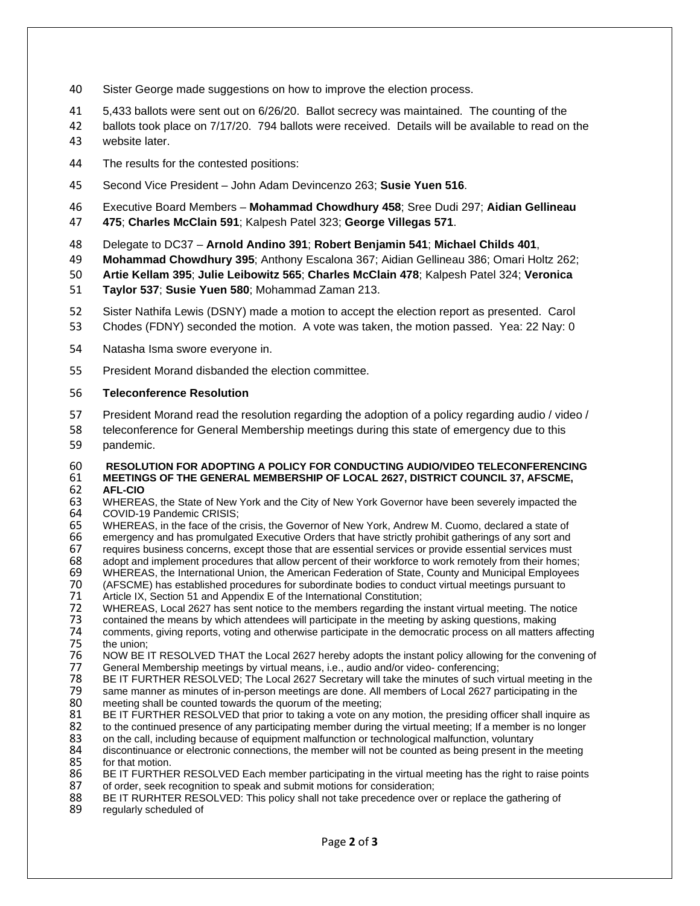- 40 Sister George made suggestions on how to improve the election process.
- 41 5,433 ballots were sent out on 6/26/20. Ballot secrecy was maintained. The counting of the
- 42 ballots took place on 7/17/20. 794 ballots were received. Details will be available to read on the
- 43 website later.
- 44 The results for the contested positions:
- 45 Second Vice President John Adam Devincenzo 263; **Susie Yuen 516**.
- 46 Executive Board Members **Mohammad Chowdhury 458**; Sree Dudi 297; **Aidian Gellineau**
- 47 **475**; **Charles McClain 591**; Kalpesh Patel 323; **George Villegas 571**.
- 48 Delegate to DC37 **Arnold Andino 391**; **Robert Benjamin 541**; **Michael Childs 401**,

49 **Mohammad Chowdhury 395**; Anthony Escalona 367; Aidian Gellineau 386; Omari Holtz 262;

50 **Artie Kellam 395**; **Julie Leibowitz 565**; **Charles McClain 478**; Kalpesh Patel 324; **Veronica**

- 51 **Taylor 537**; **Susie Yuen 580**; Mohammad Zaman 213.
- 52 Sister Nathifa Lewis (DSNY) made a motion to accept the election report as presented. Carol
- 53 Chodes (FDNY) seconded the motion. A vote was taken, the motion passed. Yea: 22 Nay: 0
- 54 Natasha Isma swore everyone in.
- 55 President Morand disbanded the election committee.

#### 56 **Teleconference Resolution**

- 57 President Morand read the resolution regarding the adoption of a policy regarding audio / video /
- 58 teleconference for General Membership meetings during this state of emergency due to this 59 pandemic.

# 60 **RESOLUTION FOR ADOPTING A POLICY FOR CONDUCTING AUDIO/VIDEO TELECONFERENCING**  61 **MEETINGS OF THE GENERAL MEMBERSHIP OF LOCAL 2627, DISTRICT COUNCIL 37, AFSCME,**

- 62 **AFL-CIO**  63 WHEREAS, the State of New York and the City of New York Governor have been severely impacted the 64 COVID-19 Pandemic CRISIS: 64 COVID-19 Pandemic CRISIS;<br>65 WHEREAS, in the face of the
- 65 WHEREAS, in the face of the crisis, the Governor of New York, Andrew M. Cuomo, declared a state of
- 66 emergency and has promulgated Executive Orders that have strictly prohibit gatherings of any sort and<br>67 equires business concerns, except those that are essential services or provide essential services must
- 67 requires business concerns, except those that are essential services or provide essential services must<br>68 adopt and implement procedures that allow percent of their workforce to work remotely from their homes
- 68 adopt and implement procedures that allow percent of their workforce to work remotely from their homes;<br>69 WHEREAS, the International Union, the American Federation of State, County and Municipal Employees
- 69 WHEREAS, the International Union, the American Federation of State, County and Municipal Employees<br>70 (AFSCME) has established procedures for subordinate bodies to conduct virtual meetings pursuant to 70 (AFSCME) has established procedures for subordinate bodies to conduct virtual meetings pursuant to<br>71 Article IX, Section 51 and Appendix E of the International Constitution;
- 71 Article IX, Section 51 and Appendix E of the International Constitution;<br>72 WHEREAS, Local 2627 has sent notice to the members regarding the
- 72 WHEREAS, Local 2627 has sent notice to the members regarding the instant virtual meeting. The notice 73 contained the means by which attendees will participate in the meeting by asking questions, making
- 73 contained the means by which attendees will participate in the meeting by asking questions, making 74 comments, giving reports, voting and otherwise participate in the democratic process on all matters affecting
- 75 the union;<br>76 NOW BE I 76 NOW BE IT RESOLVED THAT the Local 2627 hereby adopts the instant policy allowing for the convening of 77 General Membership meetings by virtual means, i.e., audio and/or video-conferencing:
- 77 General Membership meetings by virtual means, i.e., audio and/or video- conferencing;
- 78 BE IT FURTHER RESOLVED; The Local 2627 Secretary will take the minutes of such virtual meeting in the 79<br>79 Same manner as minutes of in-person meetings are done. All members of Local 2627 participating in the 79 same manner as minutes of in-person meetings are done. All members of Local 2627 participating in the 30<br>80 meeting shall be counted towards the guorum of the meeting:
- 80 meeting shall be counted towards the quorum of the meeting;<br>81 BE IT FURTHER RESOLVED that prior to taking a vote on an 81 BE IT FURTHER RESOLVED that prior to taking a vote on any motion, the presiding officer shall inquire as 82 to the continued presence of any participating member during the virtual meeting: If a member is no longer
- 82 to the continued presence of any participating member during the virtual meeting; If a member is no longer <br>83 on the call, including because of equipment malfunction or technological malfunction, voluntary
- 83 on the call, including because of equipment malfunction or technological malfunction, voluntary<br>84 discontinuance or electronic connections, the member will not be counted as being present in the
- 84 discontinuance or electronic connections, the member will not be counted as being present in the meeting<br>85 for that motion. 85 for that motion.<br>86 BE IT FURTHE
- 86 BE IT FURTHER RESOLVED Each member participating in the virtual meeting has the right to raise points 87 of order, seek recognition to speak and submit motions for consideration: 87 of order, seek recognition to speak and submit motions for consideration;<br>88 BE IT RURHTER RESOLVED: This policy shall not take precedence over
- 88 BE IT RURHTER RESOLVED: This policy shall not take precedence over or replace the gathering of 89 requilarly scheduled of
- regularly scheduled of